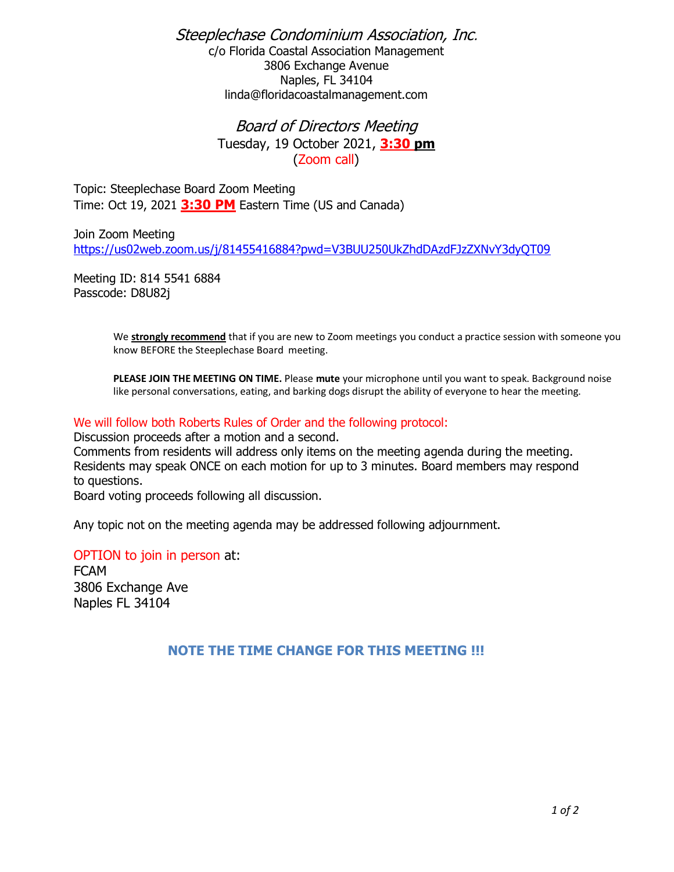Steeplechase Condominium Association, Inc. c/o Florida Coastal Association Management 3806 Exchange Avenue Naples, FL 34104 linda@floridacoastalmanagement.com

> Board of Directors Meeting Tuesday, 19 October 2021, **3:30 pm** (Zoom call)

Topic: Steeplechase Board Zoom Meeting Time: Oct 19, 2021 **3:30 PM** Eastern Time (US and Canada)

Join Zoom Meeting <https://us02web.zoom.us/j/81455416884?pwd=V3BUU250UkZhdDAzdFJzZXNvY3dyQT09>

Meeting ID: 814 5541 6884 Passcode: D8U82j

> We **strongly recommend** that if you are new to Zoom meetings you conduct a practice session with someone you know BEFORE the Steeplechase Board meeting.

**PLEASE JOIN THE MEETING ON TIME.** Please **mute** your microphone until you want to speak. Background noise like personal conversations, eating, and barking dogs disrupt the ability of everyone to hear the meeting.

## We will follow both Roberts Rules of Order and the following protocol:

Discussion proceeds after a motion and a second.

Comments from residents will address only items on the meeting agenda during the meeting. Residents may speak ONCE on each motion for up to 3 minutes. Board members may respond to questions.

Board voting proceeds following all discussion.

Any topic not on the meeting agenda may be addressed following adjournment.

## OPTION to join in person at:

FCAM 3806 Exchange Ave Naples FL 34104

## **NOTE THE TIME CHANGE FOR THIS MEETING !!!**